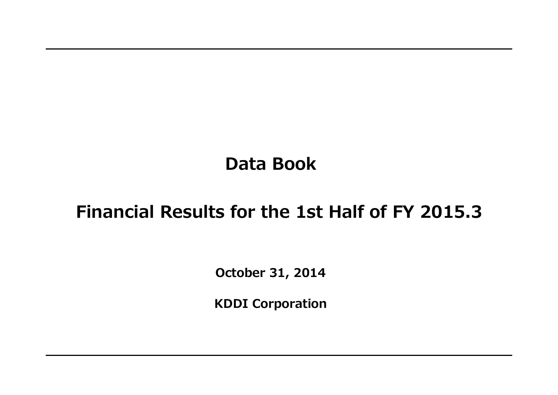# **Data Book**

# **Financial Results for the 1st Half of FY 2015.3**

**October 31, 2014**

**KDDI Corporation**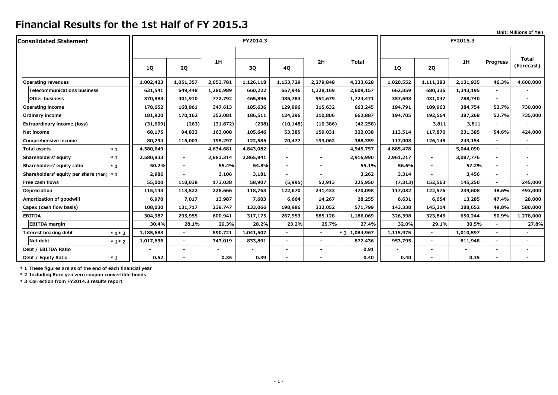|                                          |        |           |           |           |           |                          |                |               |           |                          |           |                 | Unit: Millions of Yen      |
|------------------------------------------|--------|-----------|-----------|-----------|-----------|--------------------------|----------------|---------------|-----------|--------------------------|-----------|-----------------|----------------------------|
| <b>Consolidated Statement</b>            |        |           |           |           | FY2014.3  |                          |                |               |           |                          | FY2015.3  |                 |                            |
|                                          |        | <b>1Q</b> | <b>2Q</b> | 1H        | 3Q        | 4Q                       | 2H             | <b>Total</b>  | <b>1Q</b> | <b>2Q</b>                | 1H        | <b>Progress</b> | <b>Total</b><br>(Forecast) |
| <b>Operating revenues</b>                |        | 1,002,423 | 1,051,357 | 2,053,781 | 1,126,118 | 1,153,729                | 2,279,848      | 4,333,628     | 1,020,552 | 1,111,383                | 2,131,935 | 46.3%           | 4,600,000                  |
| <b>Telecommunications business</b>       |        | 631,541   | 649,448   | 1,280,989 | 660,222   | 667,946                  | 1,328,169      | 2,609,157     | 662,859   | 680,336                  | 1,343,195 | $\blacksquare$  |                            |
| Other business                           |        | 370,883   | 401,910   | 772,792   | 465,896   | 485,783                  | 951,679        | 1,724,471     | 357,693   | 431,047                  | 788,740   | $\blacksquare$  | $\overline{\phantom{a}}$   |
| <b>Operating income</b>                  |        | 178,652   | 168,961   | 347,613   | 185,636   | 129,996                  | 315,632        | 663,245       | 194,791   | 189,963                  | 384,754   | 52.7%           | 730,000                    |
| Ordinary income                          |        | 181,920   | 170,162   | 352,081   | 186,511   | 124,296                  | 310,806        | 662,887       | 194,705   | 192,564                  | 387,268   | 52.7%           | 735,000                    |
| <b>Extraordinary income (loss)</b>       |        | (31, 609) | (263)     | (31, 872) | (238)     | (10, 148)                | (10, 386)      | (42, 258)     |           | 3,811                    | 3,811     | $\blacksquare$  |                            |
| Net income                               |        | 68,175    | 94,833    | 163,008   | 105,646   | 53,385                   | 159,031        | 322,038       | 113,514   | 117,870                  | 231,385   | 54.6%           | 424,000                    |
| Comprehensive income                     |        | 80,294    | 115,003   | 195,297   | 122,585   | 70,477                   | 193,062        | 388,359       | 117,008   | 126,145                  | 243,154   | $\blacksquare$  |                            |
| Total assets                             | $*1$   | 4,580,649 |           | 4,634,681 | 4,843,082 | $\blacksquare$           |                | 4,945,757     | 4,885,478 | $\blacksquare$           | 5,044,090 | $\blacksquare$  |                            |
| Shareholders' equity                     | $*1$   | 2,580,833 |           | 2,883,314 | 2,865,941 |                          |                | 2,916,990     | 2,961,217 |                          | 3,087,776 |                 |                            |
| Shareholders' equity ratio               | $*1$   | 50.2%     |           | 55.4%     | 54.8%     |                          |                | 55.1%         | 56.6%     |                          | 57.2%     |                 |                            |
| Shareholders' equity per share (Yen) * 1 |        | 2,986     |           | 3,106     | 3,181     | $\overline{\phantom{a}}$ |                | 3,262         | 3,314     |                          | 3,456     | $\blacksquare$  |                            |
| Free cash flows                          |        | 55,000    | 118,038   | 173,038   | 58,907    | (5,995)                  | 52,913         | 225,950       | (7, 313)  | 152,563                  | 145,250   | $\blacksquare$  | 245,000                    |
| Depreciation                             |        | 115,143   | 113,522   | 228,666   | 118,763   | 122,670                  | 241,433        | 470,098       | 117,032   | 122,576                  | 239,608   | 48.6%           | 493,000                    |
| Amortization of goodwill                 |        | 6,970     | 7,017     | 13,987    | 7,603     | 6,664                    | 14,267         | 28,255        | 6,631     | 6,654                    | 13,285    | 47.4%           | 28,000                     |
| Capex (cash flow basis)                  |        | 108,030   | 131,717   | 239,747   | 133,066   | 198,986                  | 332,052        | 571,799       | 143,338   | 145,314                  | 288,652   | 49.8%           | 580,000                    |
| <b>EBITDA</b>                            |        | 304,987   | 295,955   | 600,941   | 317,175   | 267,953                  | 585,128        | 1,186,069     | 326,398   | 323,846                  | 650,244   | 50.9%           | 1,278,000                  |
| <b>EBITDA</b> margin                     |        | 30.4%     | 28.1%     | 29.3%     | 28.2%     | 23.2%                    | 25.7%          | 27.4%         | 32.0%     | 29.1%                    | 30.5%     | $\blacksquare$  | 27.8%                      |
| <b>Interest bearing debt</b>             | $*1*2$ | 1,185,683 |           | 890,721   | 1,041,507 | $\blacksquare$           | $\blacksquare$ | * 3 1,084,967 | 1,115,975 | $\overline{\phantom{0}}$ | 1,010,597 | $\blacksquare$  |                            |
| Net debt                                 | $*1*2$ | 1,017,636 |           | 743,019   | 833,891   | $\blacksquare$           |                | 872,436       | 953,795   | $\overline{\phantom{0}}$ | 811,948   | $\blacksquare$  |                            |
| Debt / EBITDA Ratio                      |        |           |           |           |           | $\overline{\phantom{a}}$ |                | 0.91          |           | $\overline{\phantom{0}}$ |           | $\blacksquare$  |                            |
| Debt / Equity Ratio                      | $*1$   | 0.52      |           | 0.35      | 0.39      |                          |                | 0.40          | 0.40      |                          | 0.35      |                 |                            |

**\* 1 These figures are as of the end of each financial year**

**\* 2 Including Euro yen zero coupon convertible bonds**

**\* 3 Correction from FY2014.3 results report**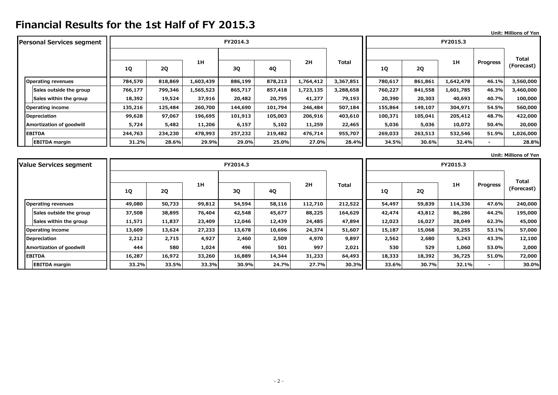**Unit: Millions of Yen**

| <b>Personal Services segment</b> |         |           |           | FY2014.3 |         |           | FY2015.3     |         |         |           |                 |              |
|----------------------------------|---------|-----------|-----------|----------|---------|-----------|--------------|---------|---------|-----------|-----------------|--------------|
|                                  |         |           |           |          |         |           |              |         |         |           |                 | <b>Total</b> |
|                                  | 1Q      | <b>2Q</b> | 1H        | 3Q       | 4Q      | 2H        | <b>Total</b> | 1Q      | 2Q      | 1H        | <b>Progress</b> | (Forecast)   |
| <b>Operating revenues</b>        | 784,570 | 818,869   | 1,603,439 | 886,199  | 878,213 | 1,764,412 | 3,367,851    | 780,617 | 861,861 | 1,642,478 | 46.1%           | 3,560,000    |
| Sales outside the group          | 766,177 | 799,346   | 1,565,523 | 865,717  | 857,418 | 1,723,135 | 3,288,658    | 760,227 | 841,558 | 1,601,785 | 46.3%           | 3,460,000    |
| Sales within the group           | 18,392  | 19,524    | 37,916    | 20,482   | 20,795  | 41,277    | 79,193       | 20,390  | 20,303  | 40,693    | 40.7%           | 100,000      |
| <b>Operating income</b>          | 135,216 | 125,484   | 260,700   | 144,690  | 101,794 | 246,484   | 507,184      | 155,864 | 149,107 | 304,971   | 54.5%           | 560,000      |
| <b>Depreciation</b>              | 99,628  | 97,067    | 196,695   | 101,913  | 105,003 | 206,916   | 403,610      | 100,371 | 105,041 | 205,412   | 48.7%           | 422,000      |
| Amortization of goodwill         | 5,724   | 5,482     | 11,206    | 6,157    | 5,102   | 11,259    | 22,465       | 5,036   | 5,036   | 10,072    | 50.4%           | 20,000       |
| <b>EBITDA</b>                    | 244,763 | 234,230   | 478,993   | 257,232  | 219,482 | 476,714   | 955,707      | 269,033 | 263,513 | 532,546   | 51.9%           | 1,026,000    |
| <b>EBITDA</b> margin             | 31.2%   | 28.6%     | 29.9%     | 29.0%    | 25.0%   | 27.0%     | 28.4%        | 34.5%   | 30.6%   | 32.4%     |                 | 28.8%        |

**Unit: Millions of Yen**

| <b>Value Services segment</b> |        |        |        | FY2014.3 |        |         | FY2015.3     |           |           |         |                 |              |
|-------------------------------|--------|--------|--------|----------|--------|---------|--------------|-----------|-----------|---------|-----------------|--------------|
|                               |        |        |        |          |        |         |              |           |           |         |                 | <b>Total</b> |
|                               | 1Q     | 2Q     | 1H     | 3Q       | 4Q     | 2H      | <b>Total</b> | <b>1Q</b> | <b>2Q</b> | 1H      | <b>Progress</b> | (Forecast)   |
| <b>Operating revenues</b>     | 49,080 | 50,733 | 99,812 | 54,594   | 58,116 | 112,710 | 212,522      | 54,497    | 59,839    | 114,336 | 47.6%           | 240,000      |
| Sales outside the group       | 37,508 | 38,895 | 76,404 | 42,548   | 45,677 | 88,225  | 164,629      | 42,474    | 43,812    | 86,286  | 44.2%           | 195,000      |
| Sales within the group        | 11,571 | 11,837 | 23,409 | 12,046   | 12,439 | 24,485  | 47,894       | 12,023    | 16,027    | 28,049  | 62.3%           | 45,000       |
| Operating income              | 13,609 | 13,624 | 27,233 | 13,678   | 10,696 | 24,374  | 51,607       | 15,187    | 15,068    | 30,255  | 53.1%           | 57,000       |
| Depreciation                  | 2,212  | 2,715  | 4,927  | 2,460    | 2,509  | 4,970   | 9,897        | 2,562     | 2,680     | 5,243   | 43.3%           | 12,100       |
| Amortization of goodwill      | 444    | 580    | 1,024  | 496      | 501    | 997     | 2,021        | 530       | 529       | 1,060   | 53.0%           | 2,000        |
| <b>EBITDA</b>                 | 16,287 | 16,972 | 33,260 | 16,889   | 14,344 | 31,233  | 64,493       | 18,333    | 18,392    | 36,725  | 51.0%           | 72,000       |
| <b>EBITDA</b> margin          | 33.2%  | 33.5%  | 33.3%  | 30.9%    | 24.7%  | 27.7%   | 30.3%        | 33.6%     | 30.7%     | 32.1%   |                 | 30.0%        |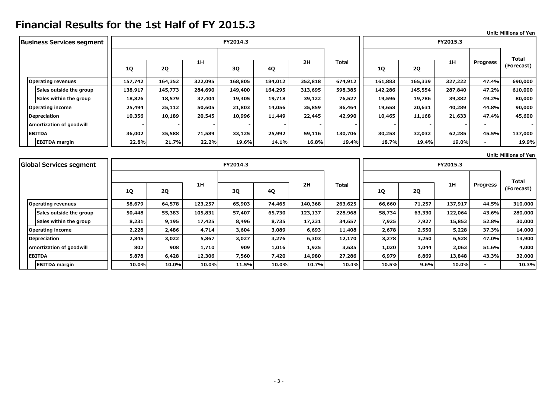|                                  |         |           |         |          |         |                    |         |         |         |          |                              | Unit: Millions of Yen |
|----------------------------------|---------|-----------|---------|----------|---------|--------------------|---------|---------|---------|----------|------------------------------|-----------------------|
| <b>Business Services segment</b> |         |           |         | FY2014.3 |         |                    |         |         |         | FY2015.3 |                              |                       |
|                                  |         |           |         |          |         |                    |         |         |         |          |                              |                       |
|                                  | 1Q      | <b>2Q</b> | 1H      | 3Q       | 4Q      | 2H<br><b>Total</b> |         | 1Q      | 2Q      | 1H       | <b>Progress</b>              | Total<br>(Forecast)   |
| <b>Operating revenues</b>        | 157,742 | 164,352   | 322,095 | 168,805  | 184,012 | 352,818            | 674,912 | 161,883 | 165,339 | 327,222  | 47.4%                        | 690,000               |
| Sales outside the group          | 138,917 | 145,773   | 284,690 | 149,400  | 164,295 | 313,695            | 598,385 | 142,286 | 145,554 | 287,840  | 47.2%                        | 610,000               |
| Sales within the group           | 18,826  | 18,579    | 37,404  | 19,405   | 19,718  | 39,122             | 76,527  | 19,596  | 19,786  | 39,382   | 49.2%                        | 80,000                |
| <b>Operating income</b>          | 25,494  | 25,112    | 50,605  | 21,803   | 14,056  | 35,859             | 86,464  | 19,658  | 20,631  | 40,289   | 44.8%                        | 90,000                |
| Depreciation                     | 10,356  | 10,189    | 20,545  | 10,996   | 11,449  | 22,445             | 42,990  | 10,465  | 11,168  | 21,633   | 47.4%                        | 45,600                |
| Amortization of goodwill         |         |           |         |          |         |                    |         |         |         |          | $\overline{\phantom{a}}$     |                       |
| <b>EBITDA</b>                    | 36,002  | 35,588    | 71,589  | 33,125   | 25,992  | 59,116             | 130,706 | 30,253  | 32,032  | 62,285   | 45.5%                        | 137,000               |
| <b>EBITDA</b> margin             | 22.8%   | 21.7%     | 22.2%   | 19.6%    | 14.1%   | 16.8%              | 19.4%   | 18.7%   | 19.4%   | 19.0%    | $\qquad \qquad \blacksquare$ | 19.9%                 |

**Unit: Millions of Yen**

| <b>Global Services segment</b> |           |        | FY2014.3 |        |        |         |              |        | FY2015.3 |         |          |              |
|--------------------------------|-----------|--------|----------|--------|--------|---------|--------------|--------|----------|---------|----------|--------------|
|                                |           |        |          |        |        |         |              |        |          |         |          | <b>Total</b> |
|                                | <b>1Q</b> | 2Q     | 1H       | 3Q     | 4Q     | 2H      | <b>Total</b> | 1Q     | 2Q       | 1H      | Progress | (Forecast)   |
| <b>Operating revenues</b>      | 58,679    | 64,578 | 123,257  | 65,903 | 74,465 | 140,368 | 263,625      | 66,660 | 71,257   | 137,917 | 44.5%    | 310,000      |
| Sales outside the group        | 50,448    | 55,383 | 105,831  | 57,407 | 65,730 | 123,137 | 228,968      | 58,734 | 63,330   | 122,064 | 43.6%    | 280,000      |
| Sales within the group         | 8,231     | 9,195  | 17,425   | 8,496  | 8,735  | 17,231  | 34,657       | 7,925  | 7,927    | 15,853  | 52.8%    | 30,000       |
| Operating income               | 2,228     | 2,486  | 4,714    | 3,604  | 3,089  | 6,693   | 11,408       | 2,678  | 2,550    | 5,228   | 37.3%    | 14,000       |
| Depreciation                   | 2,845     | 3,022  | 5,867    | 3,027  | 3,276  | 6,303   | 12,170       | 3,278  | 3,250    | 6,528   | 47.0%    | 13,900       |
| Amortization of goodwill       | 802       | 908    | 1,710    | 909    | 1,016  | 1,925   | 3,635        | 1,020  | 1,044    | 2,063   | 51.6%    | 4,000        |
| <b>EBITDA</b>                  | 5,878     | 6,428  | 12,306   | 7,560  | 7,420  | 14,980  | 27,286       | 6,979  | 6,869    | 13,848  | 43.3%    | 32,000       |
| <b>EBITDA</b> margin           | 10.0%     | 10.0%  | 10.0%    | 11.5%  | 10.0%  | 10.7%   | 10.4%        | 10.5%  | 9.6%     | 10.0%   |          | 10.3%        |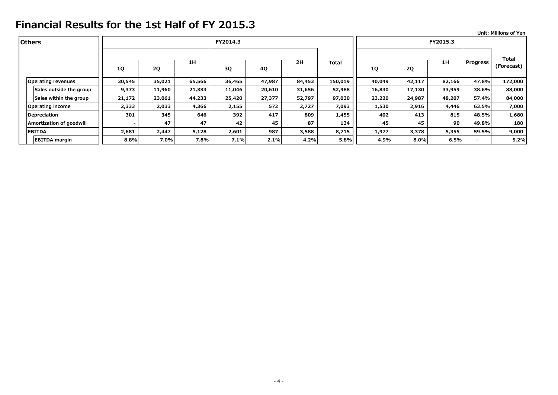|                           |           |           |        |          |        |        |         |           |        |          |                          | <b>Unit: Millions of Yen</b> |
|---------------------------|-----------|-----------|--------|----------|--------|--------|---------|-----------|--------|----------|--------------------------|------------------------------|
| <b>lOthers</b>            |           |           |        | FY2014.3 |        |        |         |           |        | FY2015.3 |                          |                              |
|                           |           |           |        |          |        |        |         |           |        |          |                          | Total                        |
|                           | <b>1Q</b> | <b>2Q</b> | 1H     | 3Q       | 4Q     | 2H     | Total   | <b>1Q</b> | 2Q     | 1H       | <b>Progress</b>          | (Forecast)                   |
| <b>Operating revenues</b> | 30,545    | 35,021    | 65,566 | 36,465   | 47,987 | 84,453 | 150,019 | 40,049    | 42,117 | 82,166   | 47.8%                    | 172,000                      |
| Sales outside the group   | 9,373     | 11,960    | 21,333 | 11,046   | 20,610 | 31,656 | 52,988  | 16,830    | 17,130 | 33,959   | 38.6%                    | 88,000                       |
| Sales within the group    | 21,172    | 23,061    | 44,233 | 25,420   | 27,377 | 52,797 | 97,030  | 23,220    | 24,987 | 48,207   | 57.4%                    | 84,000                       |
| <b>Operating income</b>   | 2,333     | 2,033     | 4,366  | 2,155    | 572    | 2,727  | 7,093   | 1,530     | 2,916  | 4,446    | 63.5%                    | 7,000                        |
| Depreciation              | 301       | 345       | 646    | 392      | 417    | 809    | 1,455   | 402       | 413    | 815      | 48.5%                    | 1,680                        |
| Amortization of goodwill  |           | 47        | 47     | 42       | 45     | 87     | 134     | 45        | 45     | 90       | 49.8%                    | 180                          |
| <b>EBITDA</b>             | 2,681     | 2,447     | 5,128  | 2,601    | 987    | 3,588  | 8,715   | 1,977     | 3,378  | 5,355    | 59.5%                    | 9,000                        |
| <b>EBITDA</b> margin      | 8.8%      | 7.0%      | 7.8%   | 7.1%     | 2.1%   | 4.2%   | 5.8%    | 4.9%      | 8.0%   | 6.5%     | $\overline{\phantom{0}}$ | 5.2%                         |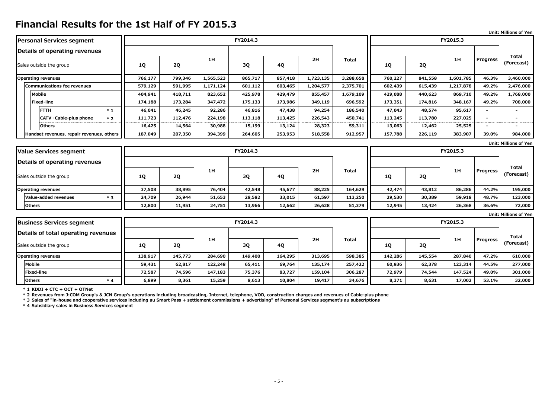|                                           |           |           |           |          |         |           |              |           |           |           |                          | <b>Unit: Millions of Yen</b> |  |  |  |
|-------------------------------------------|-----------|-----------|-----------|----------|---------|-----------|--------------|-----------|-----------|-----------|--------------------------|------------------------------|--|--|--|
| Personal Services segment                 |           |           |           | FY2014.3 |         |           |              | FY2015.3  |           |           |                          |                              |  |  |  |
| Details of operating revenues             |           |           |           |          |         |           |              |           |           |           |                          | Total                        |  |  |  |
| Sales outside the group                   | 1Q        | <b>2Q</b> | 1H        | 3Q       | 4Q      | 2H        | <b>Total</b> | 1Q        | <b>2Q</b> | 1H        | Progress                 | (Forecast)                   |  |  |  |
| <b>Operating revenues</b>                 | 766,177   | 799,346   | 1,565,523 | 865,717  | 857,418 | 1,723,135 | 3,288,658    | 760,227   | 841,558   | 1,601,785 | 46.3%                    | 3,460,000                    |  |  |  |
| Communications fee revenues               | 579,129   | 591,995   | 1,171,124 | 601,112  | 603,465 | 1,204,577 | 2,375,701    | 602,439   | 615,439   | 1,217,878 | 49.2%                    | 2,476,000                    |  |  |  |
| <b>Mobile</b>                             | 404,941   | 418,711   | 823,652   | 425,978  | 429,479 | 855,457   | 1,679,109    | 429,088   | 440,623   | 869,710   | 49.2%                    | 1,768,000                    |  |  |  |
| <b>Fixed-line</b>                         | 174,188   | 173,284   | 347,472   | 175,133  | 173,986 | 349,119   | 696,592      | 173,351   | 174,816   | 348,167   | 49.2%                    | 708,000                      |  |  |  |
| <b>FTTH</b><br>$*1$                       | 46,041    | 46,245    | 92,286    | 46,816   | 47,438  | 94,254    | 186,540      | 47,043    | 48,574    | 95,617    | $\overline{\phantom{0}}$ | $\overline{\phantom{0}}$     |  |  |  |
| CATV · Cable-plus phone<br>$*2$           | 111,723   | 112,476   | 224,198   | 113,118  | 113,425 | 226,543   | 450,741      | 113,245   | 113,780   | 227,025   | $\overline{\phantom{a}}$ | ٠                            |  |  |  |
| <b>Others</b>                             | 16,425    | 14,564    | 30,988    | 15,199   | 13,124  | 28,323    | 59,311       | 13,063    | 12,462    | 25,525    | $\overline{\phantom{0}}$ |                              |  |  |  |
| Handset revenues, repair revenues, others | 187,049   | 207,350   | 394,399   | 264,605  | 253,953 | 518,558   | 912,957      | 157,788   | 226,119   | 383,907   | 39.0%                    | 984,000                      |  |  |  |
|                                           |           |           |           |          |         |           |              |           |           |           |                          | <b>Unit: Millions of Yen</b> |  |  |  |
| <b>Value Services segment</b>             |           |           |           | FY2014.3 |         |           |              |           |           | FY2015.3  |                          |                              |  |  |  |
| Details of operating revenues             |           |           |           |          |         |           |              |           |           |           |                          |                              |  |  |  |
| Sales outside the group                   | 1Q        | <b>2Q</b> | 1H        | 3Q       | 4Q      | 2H        | <b>Total</b> | 1Q        | 2Q        | 1H        | Progress                 | <b>Total</b><br>(Forecast)   |  |  |  |
| <b>Operating revenues</b>                 | 37,508    | 38,895    | 76,404    | 42,548   | 45,677  | 88,225    | 164,629      | 42,474    | 43,812    | 86,286    | 44.2%                    | 195,000                      |  |  |  |
| Value-added revenues<br>$*3$              | 24,709    | 26,944    | 51,653    | 28,582   | 33,015  | 61,597    | 113,250      | 29,530    | 30,389    | 59,918    | 48.7%                    | 123,000                      |  |  |  |
| <b>Others</b>                             | 12,800    | 11,951    | 24,751    | 13,966   | 12,662  | 26,628    | 51,379       | 12,945    | 13,424    | 26,368    | 36.6%                    | 72,000                       |  |  |  |
|                                           |           |           |           |          |         |           |              |           |           |           |                          | <b>Unit: Millions of Yen</b> |  |  |  |
| <b>Business Services segment</b>          |           |           |           | FY2014.3 |         |           |              |           |           | FY2015.3  |                          |                              |  |  |  |
| Details of total operating revenues       |           |           |           |          |         |           |              |           |           |           |                          | <b>Total</b>                 |  |  |  |
| Sales outside the group                   | <b>1Q</b> | 2Q        | 1H        | 3Q       | 4Q      | 2H        | <b>Total</b> | <b>1Q</b> | <b>2Q</b> | 1H        | Progress                 | (Forecast)                   |  |  |  |
| <b>Operating revenues</b>                 | 138,917   | 145,773   | 284,690   | 149,400  | 164,295 | 313,695   | 598,385      | 142,286   | 145,554   | 287,840   | 47.2%                    | 610,000                      |  |  |  |
| <b>Mobile</b>                             | 59,431    | 62,817    | 122,248   | 65,411   | 69,764  | 135,174   | 257,422      | 60,936    | 62,378    | 123,314   | 44.5%                    | 277,000                      |  |  |  |

**\* 1 KDDI + CTC + OCT + OTNet**

**\* 2 Revenues from J:COM Group's & JCN Group's operations including broadcasting, Internet, telephone, VOD, construction charges and revenues of Cable-plus phone** 

**\* 3 Sales of "in-house and cooperative services including au Smart Pass + settlement commissions + advertising" of Personal Services segment's au subscriptions**

**\* 4 Subsidiary sales in Business Services segment**

**\* 4**

**Fixed-line 72,587 74,596 147,183 75,376 83,727 159,104 306,287 72,979 74,544 147,524 49.0% 301,000 Others 6,899 8,361 15,259 8,613 10,804 19,417 34,676 8,371 8,631 17,002 53.1% 32,000**